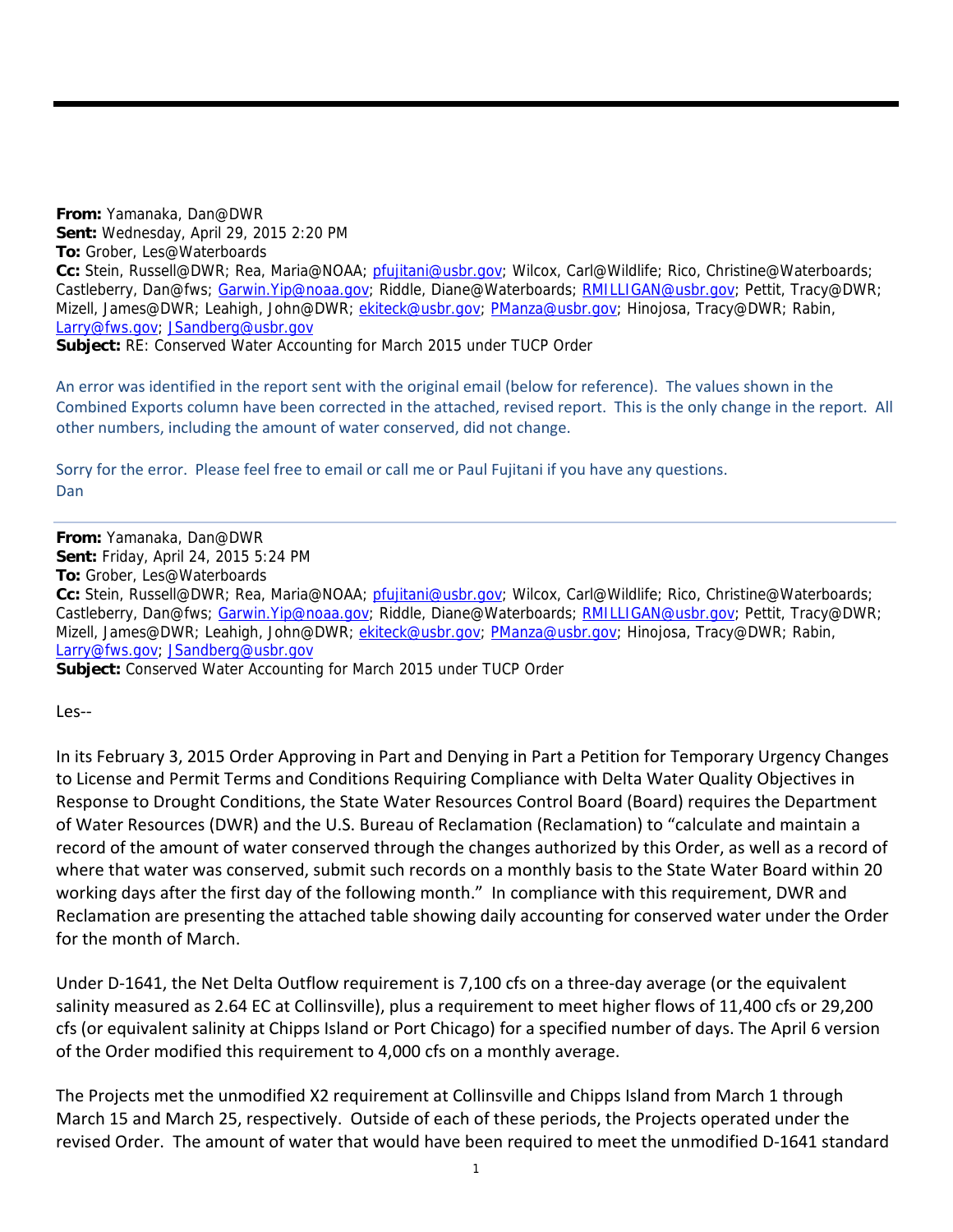**From:** Yamanaka, Dan@DWR **Sent:** Wednesday, April 29, 2015 2:20 PM **To:** Grober, Les@Waterboards **Cc:** Stein, Russell@DWR; Rea, Maria@NOAA; pfujitani@usbr.gov; Wilcox, Carl@Wildlife; Rico, Christine@Waterboards; Castleberry, Dan@fws; Garwin.Yip@noaa.gov; Riddle, Diane@Waterboards; RMILLIGAN@usbr.gov; Pettit, Tracy@DWR; Mizell, James@DWR; Leahigh, John@DWR; ekiteck@usbr.gov; PManza@usbr.gov; Hinojosa, Tracy@DWR; Rabin, Larry@fws.gov; JSandberg@usbr.gov

**Subject:** RE: Conserved Water Accounting for March 2015 under TUCP Order

An error was identified in the report sent with the original email (below for reference). The values shown in the Combined Exports column have been corrected in the attached, revised report. This is the only change in the report. All other numbers, including the amount of water conserved, did not change.

Sorry for the error. Please feel free to email or call me or Paul Fujitani if you have any questions. Dan

**From:** Yamanaka, Dan@DWR **Sent:** Friday, April 24, 2015 5:24 PM **To:** Grober, Les@Waterboards **Cc:** Stein, Russell@DWR; Rea, Maria@NOAA; pfujitani@usbr.gov; Wilcox, Carl@Wildlife; Rico, Christine@Waterboards; Castleberry, Dan@fws; Garwin.Yip@noaa.gov; Riddle, Diane@Waterboards; RMILLIGAN@usbr.gov; Pettit, Tracy@DWR; Mizell, James@DWR; Leahigh, John@DWR; ekiteck@usbr.gov; PManza@usbr.gov; Hinojosa, Tracy@DWR; Rabin, Larry@fws.gov; JSandberg@usbr.gov

**Subject:** Conserved Water Accounting for March 2015 under TUCP Order

Les‐‐

In its February 3, 2015 Order Approving in Part and Denying in Part a Petition for Temporary Urgency Changes to License and Permit Terms and Conditions Requiring Compliance with Delta Water Quality Objectives in Response to Drought Conditions, the State Water Resources Control Board (Board) requires the Department of Water Resources (DWR) and the U.S. Bureau of Reclamation (Reclamation) to "calculate and maintain a record of the amount of water conserved through the changes authorized by this Order, as well as a record of where that water was conserved, submit such records on a monthly basis to the State Water Board within 20 working days after the first day of the following month." In compliance with this requirement, DWR and Reclamation are presenting the attached table showing daily accounting for conserved water under the Order for the month of March.

Under D‐1641, the Net Delta Outflow requirement is 7,100 cfs on a three‐day average (or the equivalent salinity measured as 2.64 EC at Collinsville), plus a requirement to meet higher flows of 11,400 cfs or 29,200 cfs (or equivalent salinity at Chipps Island or Port Chicago) for a specified number of days. The April 6 version of the Order modified this requirement to 4,000 cfs on a monthly average.

The Projects met the unmodified X2 requirement at Collinsville and Chipps Island from March 1 through March 15 and March 25, respectively. Outside of each of these periods, the Projects operated under the revised Order. The amount of water that would have been required to meet the unmodified D‐1641 standard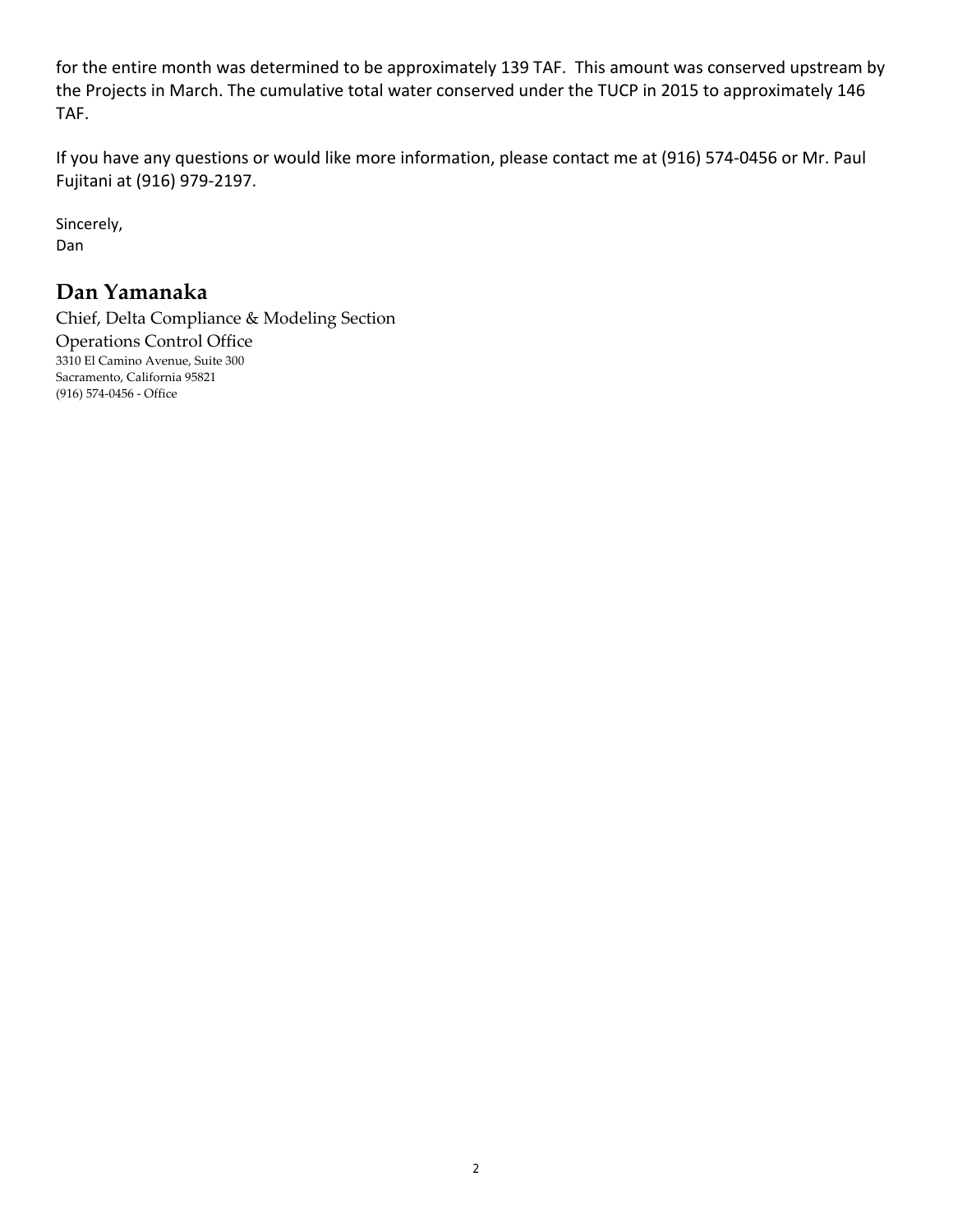for the entire month was determined to be approximately 139 TAF. This amount was conserved upstream by the Projects in March. The cumulative total water conserved under the TUCP in 2015 to approximately 146 TAF.

If you have any questions or would like more information, please contact me at (916) 574‐0456 or Mr. Paul Fujitani at (916) 979‐2197.

Sincerely, Dan

## **Dan Yamanaka**

Chief, Delta Compliance & Modeling Section Operations Control Office 3310 El Camino Avenue, Suite 300 Sacramento, California 95821 (916) 574‐0456 ‐ Office